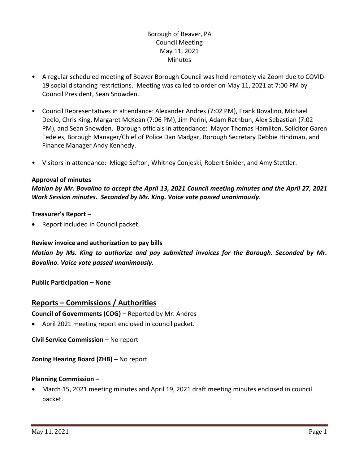# Borough of Beaver, PA Council Meeting May 11, 2021 **Minutes**

- A regular scheduled meeting of Beaver Borough Council was held remotely via Zoom due to COVID-19 social distancing restrictions. Meeting was called to order on May 11, 2021 at 7:00 PM by Council President, Sean Snowden.
- Council Representatives in attendance: Alexander Andres (7:02 PM), Frank Bovalino, Michael Deelo, Chris King, Margaret McKean (7:06 PM), Jim Perini, Adam Rathbun, Alex Sebastian (7:02 PM), and Sean Snowden. Borough officials in attendance: Mayor Thomas Hamilton, Solicitor Garen Fedeles, Borough Manager/Chief of Police Dan Madgar, Borough Secretary Debbie Hindman, and Finance Manager Andy Kennedy.
- Visitors in attendance: Midge Sefton, Whitney Conjeski, Robert Snider, and Amy Stettler.

## **Approval of minutes**

*Motion by Mr. Bovalino to accept the April 13, 2021 Council meeting minutes and the April 27, 2021 Work Session minutes. Seconded by Ms. King. Voice vote passed unanimously.* 

## **Treasurer's Report –**

Report included in Council packet.

## **Review invoice and authorization to pay bills**

*Motion by Ms. King to authorize and pay submitted invoices for the Borough. Seconded by Mr. Bovalino. Voice vote passed unanimously.*

**Public Participation – None**

# **Reports – Commissions / Authorities**

**Council of Governments (COG) –** Reported by Mr. Andres

April 2021 meeting report enclosed in council packet.

**Civil Service Commission –** No report

**Zoning Hearing Board (ZHB) –** No report

## **Planning Commission –**

 March 15, 2021 meeting minutes and April 19, 2021 draft meeting minutes enclosed in council packet.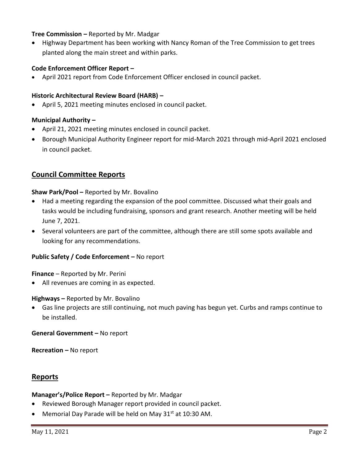## **Tree Commission –** Reported by Mr. Madgar

 Highway Department has been working with Nancy Roman of the Tree Commission to get trees planted along the main street and within parks.

## **Code Enforcement Officer Report –**

April 2021 report from Code Enforcement Officer enclosed in council packet.

### **Historic Architectural Review Board (HARB) –**

April 5, 2021 meeting minutes enclosed in council packet.

#### **Municipal Authority –**

- April 21, 2021 meeting minutes enclosed in council packet.
- Borough Municipal Authority Engineer report for mid-March 2021 through mid-April 2021 enclosed in council packet.

## **Council Committee Reports**

#### **Shaw Park/Pool –** Reported by Mr. Bovalino

- Had a meeting regarding the expansion of the pool committee. Discussed what their goals and tasks would be including fundraising, sponsors and grant research. Another meeting will be held June 7, 2021.
- Several volunteers are part of the committee, although there are still some spots available and looking for any recommendations.

#### **Public Safety / Code Enforcement –** No report

**Finance** – Reported by Mr. Perini

All revenues are coming in as expected.

#### **Highways –** Reported by Mr. Bovalino

 Gas line projects are still continuing, not much paving has begun yet. Curbs and ramps continue to be installed.

**General Government –** No report

**Recreation –** No report

# **Reports**

#### **Manager's/Police Report –** Reported by Mr. Madgar

- Reviewed Borough Manager report provided in council packet.
- Memorial Day Parade will be held on May 31<sup>st</sup> at 10:30 AM.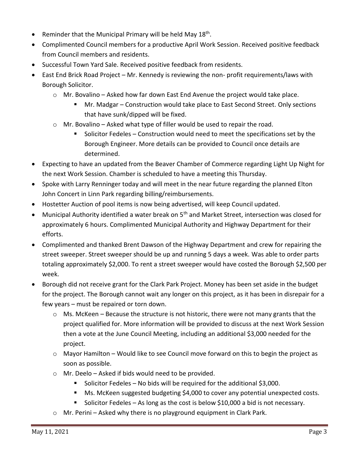- Reminder that the Municipal Primary will be held May 18<sup>th</sup>.
- Complimented Council members for a productive April Work Session. Received positive feedback from Council members and residents.
- Successful Town Yard Sale. Received positive feedback from residents.
- East End Brick Road Project Mr. Kennedy is reviewing the non- profit requirements/laws with Borough Solicitor.
	- $\circ$  Mr. Bovalino Asked how far down East End Avenue the project would take place.
		- Mr. Madgar Construction would take place to East Second Street. Only sections that have sunk/dipped will be fixed.
	- o Mr. Bovalino Asked what type of filler would be used to repair the road.
		- Solicitor Fedeles Construction would need to meet the specifications set by the Borough Engineer. More details can be provided to Council once details are determined.
- Expecting to have an updated from the Beaver Chamber of Commerce regarding Light Up Night for the next Work Session. Chamber is scheduled to have a meeting this Thursday.
- Spoke with Larry Renninger today and will meet in the near future regarding the planned Elton John Concert in Linn Park regarding billing/reimbursements.
- Hostetter Auction of pool items is now being advertised, will keep Council updated.
- Municipal Authority identified a water break on 5<sup>th</sup> and Market Street, intersection was closed for approximately 6 hours. Complimented Municipal Authority and Highway Department for their efforts.
- Complimented and thanked Brent Dawson of the Highway Department and crew for repairing the street sweeper. Street sweeper should be up and running 5 days a week. Was able to order parts totaling approximately \$2,000. To rent a street sweeper would have costed the Borough \$2,500 per week.
- Borough did not receive grant for the Clark Park Project. Money has been set aside in the budget for the project. The Borough cannot wait any longer on this project, as it has been in disrepair for a few years – must be repaired or torn down.
	- $\circ$  Ms. McKeen Because the structure is not historic, there were not many grants that the project qualified for. More information will be provided to discuss at the next Work Session then a vote at the June Council Meeting, including an additional \$3,000 needed for the project.
	- $\circ$  Mayor Hamilton Would like to see Council move forward on this to begin the project as soon as possible.
	- o Mr. Deelo Asked if bids would need to be provided.
		- Solicitor Fedeles No bids will be required for the additional \$3,000.
		- **Ms. McKeen suggested budgeting \$4,000 to cover any potential unexpected costs.**
		- Solicitor Fedeles As long as the cost is below \$10,000 a bid is not necessary.
	- o Mr. Perini Asked why there is no playground equipment in Clark Park.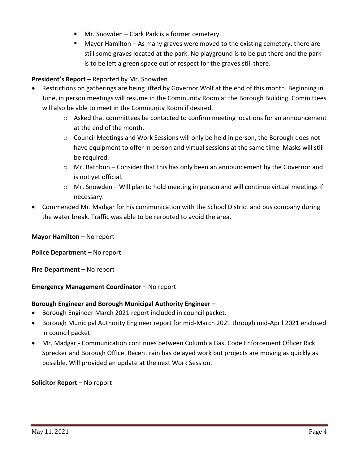- Mr. Snowden Clark Park is a former cemetery.
- Mayor Hamilton As many graves were moved to the existing cemetery, there are still some graves located at the park. No playground is to be put there and the park is to be left a green space out of respect for the graves still there.

# **President's Report –** Reported by Mr. Snowden

- Restrictions on gatherings are being lifted by Governor Wolf at the end of this month. Beginning in June, in person meetings will resume in the Community Room at the Borough Building. Committees will also be able to meet in the Community Room if desired.
	- $\circ$  Asked that committees be contacted to confirm meeting locations for an announcement at the end of the month.
	- $\circ$  Council Meetings and Work Sessions will only be held in person, the Borough does not have equipment to offer in person and virtual sessions at the same time. Masks will still be required.
	- o Mr. Rathbun Consider that this has only been an announcement by the Governor and is not yet official.
	- $\circ$  Mr. Snowden Will plan to hold meeting in person and will continue virtual meetings if necessary.
- Commended Mr. Madgar for his communication with the School District and bus company during the water break. Traffic was able to be rerouted to avoid the area.

**Mayor Hamilton –** No report

**Police Department – No report** 

**Fire Department** – No report

# **Emergency Management Coordinator – No report**

## **Borough Engineer and Borough Municipal Authority Engineer –**

- Borough Engineer March 2021 report included in council packet.
- Borough Municipal Authority Engineer report for mid-March 2021 through mid-April 2021 enclosed in council packet.
- Mr. Madgar Communication continues between Columbia Gas, Code Enforcement Officer Rick Sprecker and Borough Office. Recent rain has delayed work but projects are moving as quickly as possible. Will provided an update at the next Work Session.

**Solicitor Report –** No report